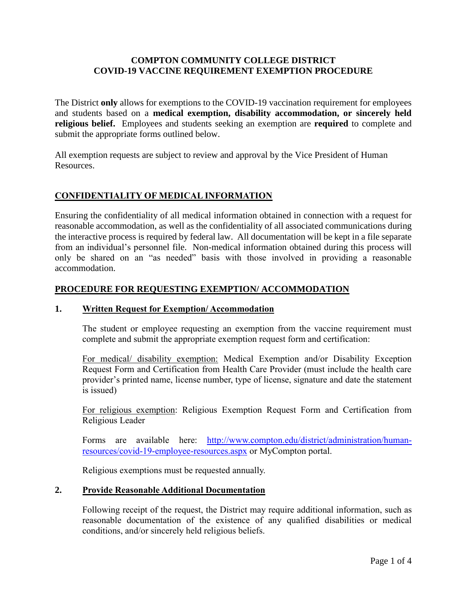## **COMPTON COMMUNITY COLLEGE DISTRICT COVID-19 VACCINE REQUIREMENT EXEMPTION PROCEDURE**

The District **only** allows for exemptions to the COVID-19 vaccination requirement for employees and students based on a **medical exemption, disability accommodation, or sincerely held religious belief.** Employees and students seeking an exemption are **required** to complete and submit the appropriate forms outlined below.

All exemption requests are subject to review and approval by the Vice President of Human Resources.

## **CONFIDENTIALITY OF MEDICAL INFORMATION**

Ensuring the confidentiality of all medical information obtained in connection with a request for reasonable accommodation, as well as the confidentiality of all associated communications during the interactive process is required by federal law. All documentation will be kept in a file separate from an individual's personnel file. Non-medical information obtained during this process will only be shared on an "as needed" basis with those involved in providing a reasonable accommodation.

### **PROCEDURE FOR REQUESTING EXEMPTION/ ACCOMMODATION**

### **1. Written Request for Exemption/ Accommodation**

The student or employee requesting an exemption from the vaccine requirement must complete and submit the appropriate exemption request form and certification:

For medical/ disability exemption: Medical Exemption and/or Disability Exception Request Form and Certification from Health Care Provider (must include the health care provider's printed name, license number, type of license, signature and date the statement is issued)

For religious exemption: Religious Exemption Request Form and Certification from Religious Leader

Forms are available here: [http://www.compton.edu/district/administration/human](http://www.compton.edu/district/administration/human-resources/covid-19-employee-resources.aspx)[resources/covid-19-employee-resources.aspx](http://www.compton.edu/district/administration/human-resources/covid-19-employee-resources.aspx) or MyCompton portal.

Religious exemptions must be requested annually.

### **2. Provide Reasonable Additional Documentation**

Following receipt of the request, the District may require additional information, such as reasonable documentation of the existence of any qualified disabilities or medical conditions, and/or sincerely held religious beliefs.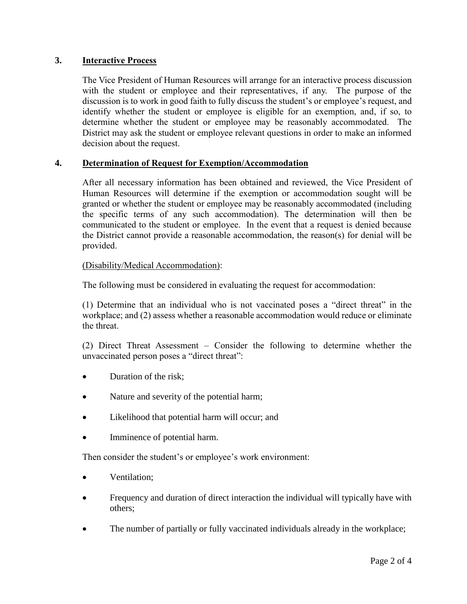## **3. Interactive Process**

The Vice President of Human Resources will arrange for an interactive process discussion with the student or employee and their representatives, if any. The purpose of the discussion is to work in good faith to fully discuss the student's or employee's request, and identify whether the student or employee is eligible for an exemption, and, if so, to determine whether the student or employee may be reasonably accommodated. The District may ask the student or employee relevant questions in order to make an informed decision about the request.

## **4. Determination of Request for Exemption/Accommodation**

After all necessary information has been obtained and reviewed, the Vice President of Human Resources will determine if the exemption or accommodation sought will be granted or whether the student or employee may be reasonably accommodated (including the specific terms of any such accommodation). The determination will then be communicated to the student or employee. In the event that a request is denied because the District cannot provide a reasonable accommodation, the reason(s) for denial will be provided.

### (Disability/Medical Accommodation):

The following must be considered in evaluating the request for accommodation:

(1) Determine that an individual who is not vaccinated poses a "direct threat" in the workplace; and (2) assess whether a reasonable accommodation would reduce or eliminate the threat.

(2) Direct Threat Assessment – Consider the following to determine whether the unvaccinated person poses a "direct threat":

- Duration of the risk;
- Nature and severity of the potential harm;
- Likelihood that potential harm will occur; and
- Imminence of potential harm.

Then consider the student's or employee's work environment:

- Ventilation:
- Frequency and duration of direct interaction the individual will typically have with others;
- The number of partially or fully vaccinated individuals already in the workplace;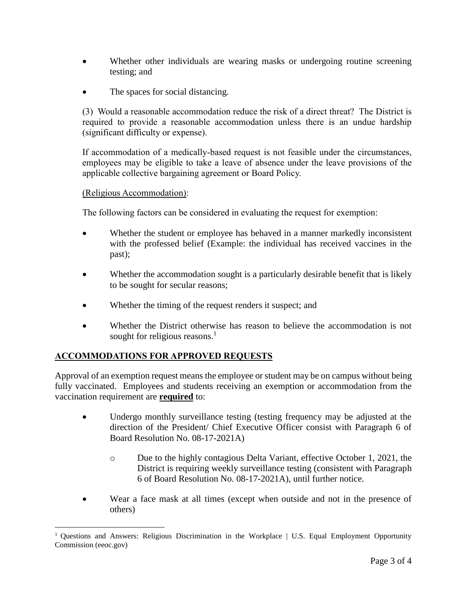- Whether other individuals are wearing masks or undergoing routine screening testing; and
- The spaces for social distancing.

(3) Would a reasonable accommodation reduce the risk of a direct threat? The District is required to provide a reasonable accommodation unless there is an undue hardship (significant difficulty or expense).

If accommodation of a medically-based request is not feasible under the circumstances, employees may be eligible to take a leave of absence under the leave provisions of the applicable collective bargaining agreement or Board Policy.

### (Religious Accommodation):

The following factors can be considered in evaluating the request for exemption:

- Whether the student or employee has behaved in a manner markedly inconsistent with the professed belief (Example: the individual has received vaccines in the past);
- Whether the accommodation sought is a particularly desirable benefit that is likely to be sought for secular reasons;
- Whether the timing of the request renders it suspect; and
- Whether the District otherwise has reason to believe the accommodation is not sought for religious reasons.<sup>1</sup>

# **ACCOMMODATIONS FOR APPROVED REQUESTS**

 $\overline{a}$ 

Approval of an exemption request means the employee or student may be on campus without being fully vaccinated. Employees and students receiving an exemption or accommodation from the vaccination requirement are **required** to:

- Undergo monthly surveillance testing (testing frequency may be adjusted at the direction of the President/ Chief Executive Officer consist with Paragraph 6 of Board Resolution No. 08-17-2021A)
	- o Due to the highly contagious Delta Variant, effective October 1, 2021, the District is requiring weekly surveillance testing (consistent with Paragraph 6 of Board Resolution No. 08-17-2021A), until further notice.
- Wear a face mask at all times (except when outside and not in the presence of others)

<sup>&</sup>lt;sup>1</sup> Questions and Answers: Religious Discrimination in the Workplace | U.S. Equal Employment Opportunity Commission (eeoc.gov)